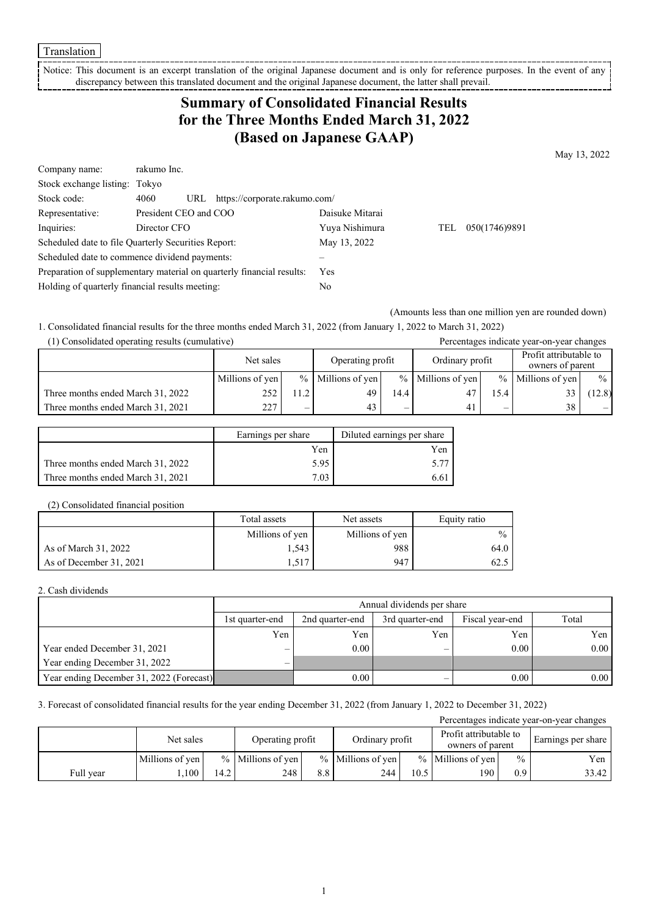Translation

Notice: This document is an excerpt translation of the original Japanese document and is only for reference purposes. In the event of any discrepancy between this translated document and the original Japanese document, the latter shall prevail.

## **Summary of Consolidated Financial Results for the Three Months Ended March 31, 2022 (Based on Japanese GAAP)**

May 13, 2022

| Company name:                                                         | rakumo Inc.           |     |                               |                 |     |               |
|-----------------------------------------------------------------------|-----------------------|-----|-------------------------------|-----------------|-----|---------------|
| Stock exchange listing: Tokyo                                         |                       |     |                               |                 |     |               |
| Stock code:                                                           | 4060                  | URL | https://corporate.rakumo.com/ |                 |     |               |
| Representative:                                                       | President CEO and COO |     |                               | Daisuke Mitarai |     |               |
| Inquiries:                                                            | Director CFO          |     |                               | Yuya Nishimura  | TEL | 050(1746)9891 |
| Scheduled date to file Quarterly Securities Report:                   |                       |     |                               | May 13, 2022    |     |               |
| Scheduled date to commence dividend payments:                         |                       |     |                               |                 |     |               |
| Preparation of supplementary material on quarterly financial results: |                       |     |                               | Yes             |     |               |
| Holding of quarterly financial results meeting:                       |                       |     |                               | No              |     |               |

(Amounts less than one million yen are rounded down)

1. Consolidated financial results for the three months ended March 31, 2022 (from January 1, 2022 to March 31, 2022)

| (1) Consolidated operating results (cumulative) |                 |                          | Percentages indicate year-on-year changes |                          |                     |                          |                                            |               |
|-------------------------------------------------|-----------------|--------------------------|-------------------------------------------|--------------------------|---------------------|--------------------------|--------------------------------------------|---------------|
|                                                 | Net sales       |                          | Operating profit                          |                          | Ordinary profit     |                          | Profit attributable to<br>owners of parent |               |
|                                                 | Millions of yen |                          | $%$ Millions of yen                       |                          | $%$ Millions of yen | $\%$                     | Millions of yen                            | $\frac{0}{0}$ |
| Three months ended March 31, 2022               | 252             | 11.2                     | 49                                        | 14.4                     | 47                  | 15.4                     |                                            | 12.8)         |
| Three months ended March 31, 2021               | 227             | $\overline{\phantom{0}}$ | 43                                        | $\overline{\phantom{0}}$ | 41                  | $\overline{\phantom{0}}$ | 38                                         |               |

|                                   | Earnings per share | Diluted earnings per share |
|-----------------------------------|--------------------|----------------------------|
|                                   | Yen                | Yen                        |
| Three months ended March 31, 2022 | 5.95               | 5.77                       |
| Three months ended March 31, 2021 | 7.03               | 6.61                       |

#### (2) Consolidated financial position

|                         | Total assets<br>Net assets |                 | Equity ratio  |
|-------------------------|----------------------------|-----------------|---------------|
|                         | Millions of yen            | Millions of yen | $\frac{0}{0}$ |
| As of March 31, 2022    | 1,543                      | 988             | 64.0          |
| As of December 31, 2021 | 1,517                      | 947             | 62.5          |

### 2. Cash dividends

|                                          |                          | Annual dividends per share                                     |                          |      |      |  |  |  |  |
|------------------------------------------|--------------------------|----------------------------------------------------------------|--------------------------|------|------|--|--|--|--|
|                                          | 1st quarter-end          | Total<br>Fiscal year-end<br>3rd quarter-end<br>2nd quarter-end |                          |      |      |  |  |  |  |
|                                          | Yen                      | Yen                                                            | Yen                      | Yen  | Yen  |  |  |  |  |
| Year ended December 31, 2021             | $\overline{\phantom{0}}$ | 0.00                                                           |                          | 0.00 | 0.00 |  |  |  |  |
| Year ending December 31, 2022            | $\overline{\phantom{0}}$ |                                                                |                          |      |      |  |  |  |  |
| Year ending December 31, 2022 (Forecast) |                          | 0.00                                                           | $\overline{\phantom{0}}$ | 0.00 | 0.00 |  |  |  |  |

### 3. Forecast of consolidated financial results for the year ending December 31, 2022 (from January 1, 2022 to December 31, 2022)

| Percentages indicate year-on-year changes |                 |      |                     |     |                     |      |                                            |                  |                    |
|-------------------------------------------|-----------------|------|---------------------|-----|---------------------|------|--------------------------------------------|------------------|--------------------|
|                                           | Net sales       |      | Operating profit    |     | Ordinary profit     |      | Profit attributable to<br>owners of parent |                  | Earnings per share |
|                                           | Millions of yen |      | $%$ Millions of yen |     | $%$ Millions of yen |      | $%$ Millions of yen                        | $\%$             | Yen                |
| Full year                                 | ,100            | 14.2 | 248                 | 8.8 | 244                 | 10.5 | 190                                        | 0.9 <sup>°</sup> | 33.42              |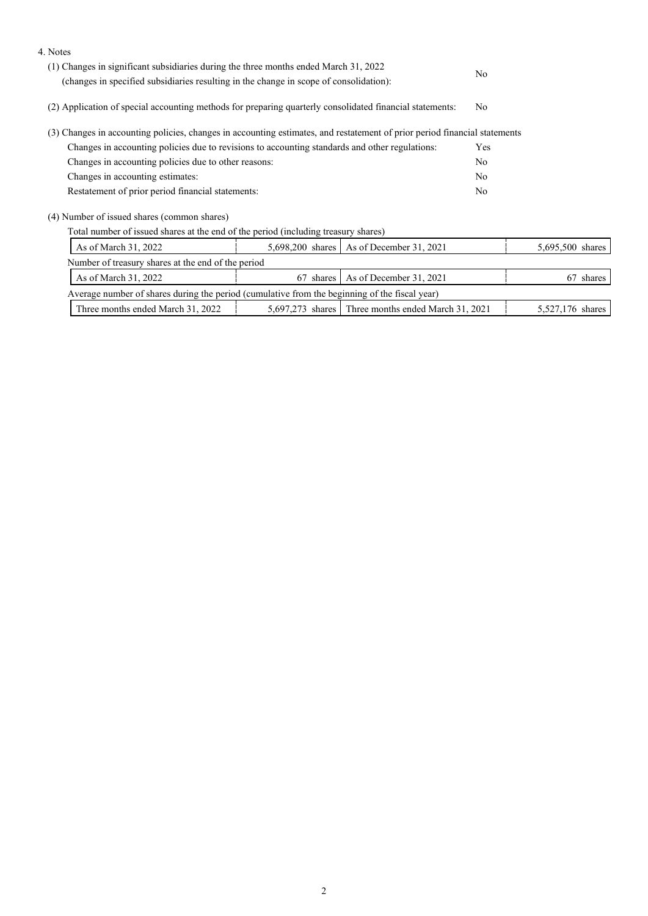| 4. Notes                                                                                                                                                                       |  |                                            |                |                  |
|--------------------------------------------------------------------------------------------------------------------------------------------------------------------------------|--|--------------------------------------------|----------------|------------------|
| (1) Changes in significant subsidiaries during the three months ended March 31, 2022<br>(changes in specified subsidiaries resulting in the change in scope of consolidation): |  |                                            |                |                  |
| (2) Application of special accounting methods for preparing quarterly consolidated financial statements:                                                                       |  |                                            | N <sub>0</sub> |                  |
| (3) Changes in accounting policies, changes in accounting estimates, and restatement of prior period financial statements                                                      |  |                                            |                |                  |
| Changes in accounting policies due to revisions to accounting standards and other regulations:                                                                                 |  |                                            |                |                  |
| Changes in accounting policies due to other reasons:                                                                                                                           |  |                                            | No             |                  |
| Changes in accounting estimates:                                                                                                                                               |  |                                            | No             |                  |
| Restatement of prior period financial statements:                                                                                                                              |  |                                            | No             |                  |
| (4) Number of issued shares (common shares)                                                                                                                                    |  |                                            |                |                  |
| Total number of issued shares at the end of the period (including treasury shares)                                                                                             |  |                                            |                |                  |
| As of March 31, 2022                                                                                                                                                           |  | 5,698,200 shares   As of December 31, 2021 |                | 5,695,500 shares |
| Number of treasury shares at the end of the period                                                                                                                             |  |                                            |                |                  |

| 67 shares As of December 31, 2021<br>As of March 31, 2022                                     |                  |  | 67 shares |  |  |
|-----------------------------------------------------------------------------------------------|------------------|--|-----------|--|--|
| Average number of shares during the period (cumulative from the beginning of the fiscal year) |                  |  |           |  |  |
| Three months ended March 31, 2022                                                             | 5,527,176 shares |  |           |  |  |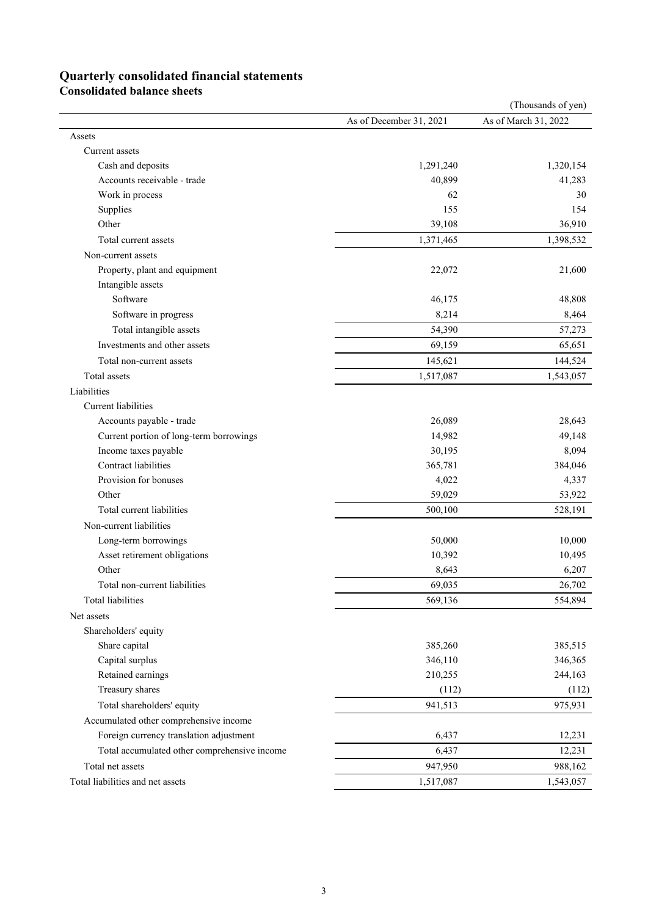# **Quarterly consolidated financial statements**

**Consolidated balance sheets**

|                                              |                         | (Thousands of yen)   |
|----------------------------------------------|-------------------------|----------------------|
|                                              | As of December 31, 2021 | As of March 31, 2022 |
| Assets                                       |                         |                      |
| Current assets                               |                         |                      |
| Cash and deposits                            | 1,291,240               | 1,320,154            |
| Accounts receivable - trade                  | 40,899                  | 41,283               |
| Work in process                              | 62                      | 30                   |
| Supplies                                     | 155                     | 154                  |
| Other                                        | 39,108                  | 36,910               |
| Total current assets                         | 1,371,465               | 1,398,532            |
| Non-current assets                           |                         |                      |
| Property, plant and equipment                | 22,072                  | 21,600               |
| Intangible assets                            |                         |                      |
| Software                                     | 46,175                  | 48,808               |
| Software in progress                         | 8,214                   | 8,464                |
| Total intangible assets                      | 54,390                  | 57,273               |
| Investments and other assets                 | 69,159                  | 65,651               |
| Total non-current assets                     | 145,621                 | 144,524              |
| Total assets                                 | 1,517,087               | 1,543,057            |
| Liabilities                                  |                         |                      |
| Current liabilities                          |                         |                      |
| Accounts payable - trade                     | 26,089                  | 28,643               |
| Current portion of long-term borrowings      | 14,982                  | 49,148               |
| Income taxes payable                         | 30,195                  | 8,094                |
| Contract liabilities                         | 365,781                 | 384,046              |
| Provision for bonuses                        | 4,022                   | 4,337                |
| Other                                        | 59,029                  | 53,922               |
| Total current liabilities                    | 500,100                 | 528,191              |
| Non-current liabilities                      |                         |                      |
| Long-term borrowings                         | 50,000                  | 10,000               |
| Asset retirement obligations                 | 10,392                  | 10,495               |
| Other                                        | 8,643                   | 6,207                |
| Total non-current liabilities                | 69,035                  | 26,702               |
| <b>Total liabilities</b>                     | 569,136                 | 554,894              |
| Net assets                                   |                         |                      |
| Shareholders' equity                         |                         |                      |
| Share capital                                | 385,260                 | 385,515              |
| Capital surplus                              | 346,110                 | 346,365              |
| Retained earnings                            | 210,255                 | 244,163              |
| Treasury shares                              | (112)                   | (112)                |
| Total shareholders' equity                   | 941,513                 | 975,931              |
| Accumulated other comprehensive income       |                         |                      |
| Foreign currency translation adjustment      | 6,437                   | 12,231               |
| Total accumulated other comprehensive income | 6,437                   | 12,231               |
| Total net assets                             | 947,950                 | 988,162              |
| Total liabilities and net assets             | 1,517,087               | 1,543,057            |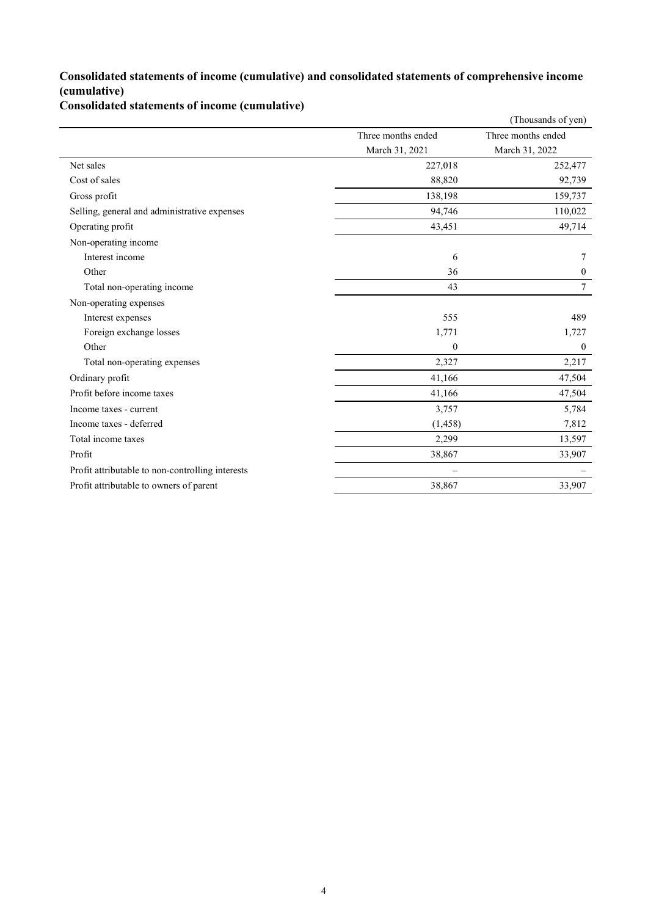### **Consolidated statements of income (cumulative) and consolidated statements of comprehensive income (cumulative)**

**Consolidated statements of income (cumulative)**

|                                                  |                    | (Thousands of yen) |
|--------------------------------------------------|--------------------|--------------------|
|                                                  | Three months ended | Three months ended |
|                                                  | March 31, 2021     | March 31, 2022     |
| Net sales                                        | 227,018            | 252,477            |
| Cost of sales                                    | 88,820             | 92,739             |
| Gross profit                                     | 138,198            | 159,737            |
| Selling, general and administrative expenses     | 94,746             | 110,022            |
| Operating profit                                 | 43,451             | 49,714             |
| Non-operating income                             |                    |                    |
| Interest income                                  | 6                  | 7                  |
| Other                                            | 36                 | $\overline{0}$     |
| Total non-operating income                       | 43                 | 7                  |
| Non-operating expenses                           |                    |                    |
| Interest expenses                                | 555                | 489                |
| Foreign exchange losses                          | 1,771              | 1,727              |
| Other                                            | $\theta$           | $\mathbf{0}$       |
| Total non-operating expenses                     | 2,327              | 2,217              |
| Ordinary profit                                  | 41,166             | 47,504             |
| Profit before income taxes                       | 41,166             | 47,504             |
| Income taxes - current                           | 3,757              | 5,784              |
| Income taxes - deferred                          | (1, 458)           | 7,812              |
| Total income taxes                               | 2,299              | 13,597             |
| Profit                                           | 38,867             | 33,907             |
| Profit attributable to non-controlling interests |                    |                    |
| Profit attributable to owners of parent          | 38,867             | 33,907             |